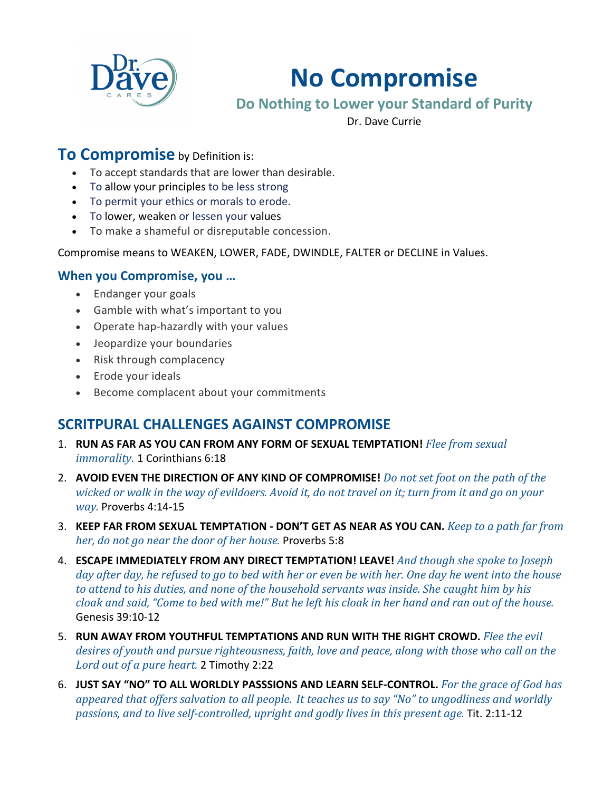

# **No Compromise**

# **Do Nothing to Lower your Standard of Purity**

Dr. Dave Currie

### **To Compromise** by Definition is:

- To accept standards that are lower than desirable.
- To allow your principles to be less strong
- To permit your ethics or morals to erode.
- To lower, weaken or lessen your values
- To make a shameful or disreputable concession.

Compromise means to WEAKEN, LOWER, FADE, DWINDLE, FALTER or DECLINE in Values.

#### **When you Compromise, you …**

- Endanger your goals
- Gamble with what's important to you
- Operate hap-hazardly with your values
- Jeopardize your boundaries
- Risk through complacency
- Erode your ideals
- Become complacent about your commitments

# **SCRITPURAL CHALLENGES AGAINST COMPROMISE**

- 1. **RUN AS FAR AS YOU CAN FROM ANY FORM OF SEXUAL TEMPTATION!** Flee from sexual *immorality.* 1 Corinthians 6:18
- 2. **AVOID EVEN THE DIRECTION OF ANY KIND OF COMPROMISE!** *Do not set foot on the path of the wicked* or walk in the way of evildoers. Avoid it, do not travel on it; turn from it and go on your *way.* Proverbs 4:14-15
- 3. KEEP FAR FROM SEXUAL TEMPTATION DON'T GET AS NEAR AS YOU CAN. *Keep to a path far from her, do not go near the door of her house.* Proverbs 5:8
- 4. **ESCAPE IMMEDIATELY FROM ANY DIRECT TEMPTATION! LEAVE!** And though she spoke to Joseph day after day, he refused to go to bed with her or even be with her. One day he went into the house to attend to his duties, and none of the household servants was inside. She caught him by his *cloak and said,* "Come to bed with me!" But he left his cloak in her hand and ran out of the house. Genesis 39:10-12
- 5. **RUN AWAY FROM YOUTHFUL TEMPTATIONS AND RUN WITH THE RIGHT CROWD.** Flee the evil desires of youth and pursue righteousness, faith, love and peace, along with those who call on the *Lord out of a pure heart.* 2 Timothy 2:22
- 6. **JUST SAY "NO" TO ALL WORLDLY PASSSIONS AND LEARN SELF-CONTROL.** For the grace of God has *appeared that offers salvation to all people. It teaches us to say "No" to ungodliness and worldly passions, and to live self-controlled, upright and godly lives in this present age.* Tit. 2:11-12